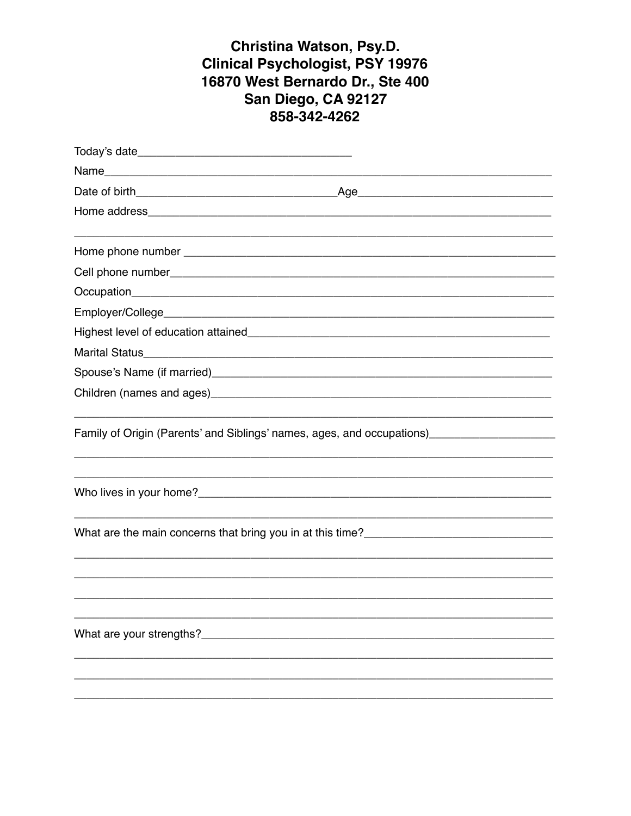## Christina Watson, Psy.D. **Clinical Psychologist, PSY 19976** 16870 West Bernardo Dr., Ste 400 San Diego, CA 92127 858-342-4262

| Family of Origin (Parents' and Siblings' names, ages, and occupations)_____________________________ |
|-----------------------------------------------------------------------------------------------------|
|                                                                                                     |
|                                                                                                     |
|                                                                                                     |
|                                                                                                     |
|                                                                                                     |
|                                                                                                     |
| What are your strengths?                                                                            |
|                                                                                                     |
|                                                                                                     |
|                                                                                                     |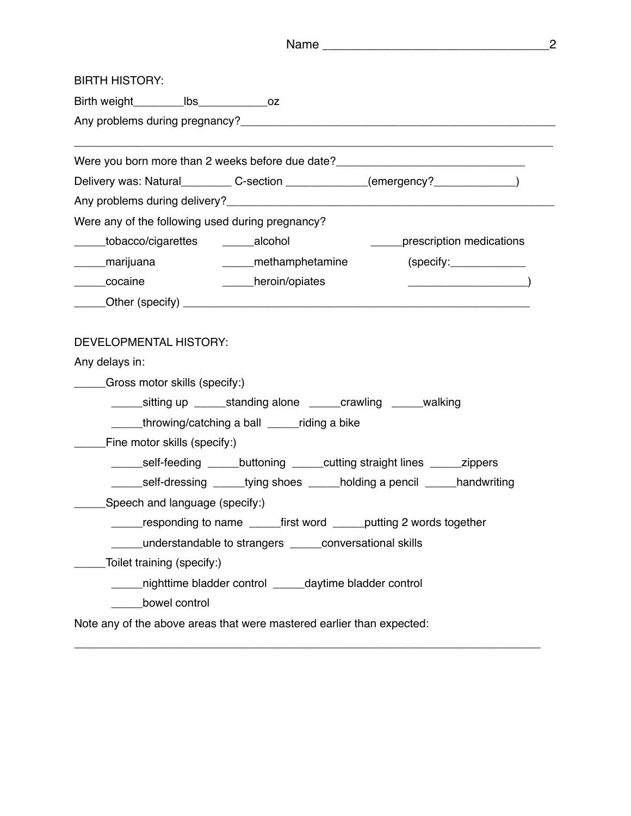|                                                  |                                                                                   |                                 | $\overline{c}$ |
|--------------------------------------------------|-----------------------------------------------------------------------------------|---------------------------------|----------------|
| <b>BIRTH HISTORY:</b>                            |                                                                                   |                                 |                |
|                                                  |                                                                                   |                                 |                |
|                                                  |                                                                                   |                                 |                |
|                                                  | Were you born more than 2 weeks before due date?________________________________  |                                 |                |
|                                                  | Delivery was: Natural____________C-section ______________(emergency?_____________ |                                 |                |
|                                                  |                                                                                   |                                 |                |
| Were any of the following used during pregnancy? |                                                                                   |                                 |                |
| _____tobacco/cigarettes ______alcohol            |                                                                                   | ______prescription medications  |                |
| _____marijuana                                   | methamphetamine                                                                   | (specify:                       |                |
| _____cocaine                                     | ____heroin/opiates                                                                | $\overbrace{\hspace{27mm}}^{2}$ |                |
|                                                  |                                                                                   |                                 |                |
| <b>DEVELOPMENTAL HISTORY:</b><br>Any delays in:  |                                                                                   |                                 |                |
| Gross motor skills (specify:)                    |                                                                                   |                                 |                |
|                                                  | ______sitting up ______standing alone ______crawling ______walking                |                                 |                |
|                                                  | _____throwing/catching a ball ______riding a bike                                 |                                 |                |
| Fine motor skills (specify:)                     |                                                                                   |                                 |                |
|                                                  | ______self-feeding ______buttoning _____cutting straight lines ______zippers      |                                 |                |
|                                                  | _____self-dressing _____tying shoes _____holding a pencil _____handwriting        |                                 |                |
| Speech and language (specify:)                   |                                                                                   |                                 |                |
|                                                  | _____responding to name _____first word _____putting 2 words together             |                                 |                |
|                                                  | understandable to strangers _______conversational skills                          |                                 |                |
| Toilet training (specify:)                       |                                                                                   |                                 |                |
|                                                  | nighttime bladder control _____daytime bladder control                            |                                 |                |
| bowel control                                    |                                                                                   |                                 |                |
|                                                  | Note any of the above areas that were mastered earlier than expected:             |                                 |                |

\_\_\_\_\_\_\_\_\_\_\_\_\_\_\_\_\_\_\_\_\_\_\_\_\_\_\_\_\_\_\_\_\_\_\_\_\_\_\_\_\_\_\_\_\_\_\_\_\_\_\_\_\_\_\_\_\_\_\_\_\_\_\_\_\_\_\_\_\_\_\_\_\_\_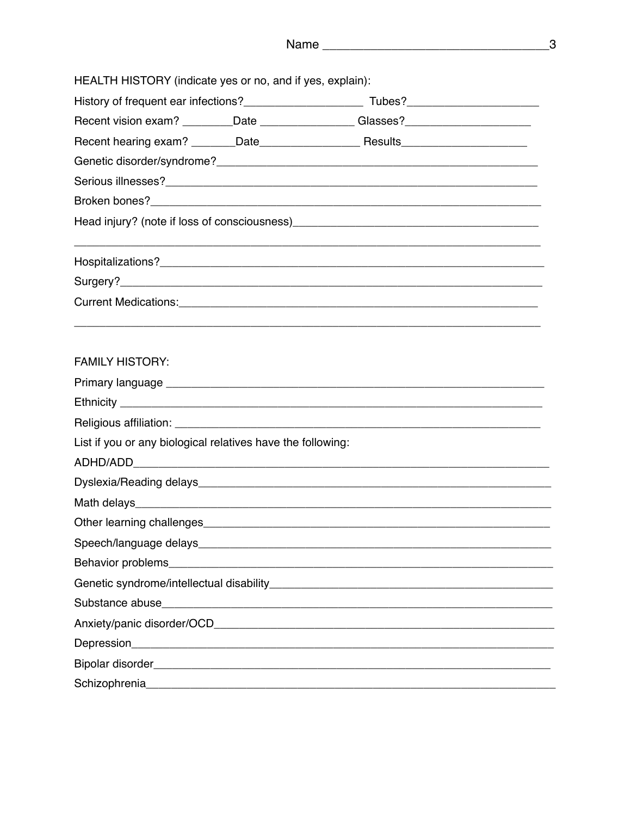| HEALTH HISTORY (indicate yes or no, and if yes, explain):   |                                                                                                                                                                                                                                      |  |
|-------------------------------------------------------------|--------------------------------------------------------------------------------------------------------------------------------------------------------------------------------------------------------------------------------------|--|
|                                                             |                                                                                                                                                                                                                                      |  |
|                                                             | Recent vision exam? _________Date __________________Glasses?____________________                                                                                                                                                     |  |
|                                                             |                                                                                                                                                                                                                                      |  |
|                                                             |                                                                                                                                                                                                                                      |  |
|                                                             |                                                                                                                                                                                                                                      |  |
|                                                             |                                                                                                                                                                                                                                      |  |
|                                                             |                                                                                                                                                                                                                                      |  |
|                                                             |                                                                                                                                                                                                                                      |  |
|                                                             |                                                                                                                                                                                                                                      |  |
|                                                             | Current Medications: <u>compare and contract and contract and contract and contract and contract and contract and contract and contract of the contract of the contract of the contract of the contract of the contract of the c</u> |  |
| <b>FAMILY HISTORY:</b>                                      |                                                                                                                                                                                                                                      |  |
|                                                             |                                                                                                                                                                                                                                      |  |
|                                                             |                                                                                                                                                                                                                                      |  |
|                                                             |                                                                                                                                                                                                                                      |  |
| List if you or any biological relatives have the following: |                                                                                                                                                                                                                                      |  |
|                                                             |                                                                                                                                                                                                                                      |  |
|                                                             |                                                                                                                                                                                                                                      |  |
|                                                             |                                                                                                                                                                                                                                      |  |
|                                                             |                                                                                                                                                                                                                                      |  |
|                                                             |                                                                                                                                                                                                                                      |  |
|                                                             |                                                                                                                                                                                                                                      |  |
|                                                             |                                                                                                                                                                                                                                      |  |
|                                                             |                                                                                                                                                                                                                                      |  |
|                                                             |                                                                                                                                                                                                                                      |  |
|                                                             |                                                                                                                                                                                                                                      |  |
|                                                             |                                                                                                                                                                                                                                      |  |
|                                                             |                                                                                                                                                                                                                                      |  |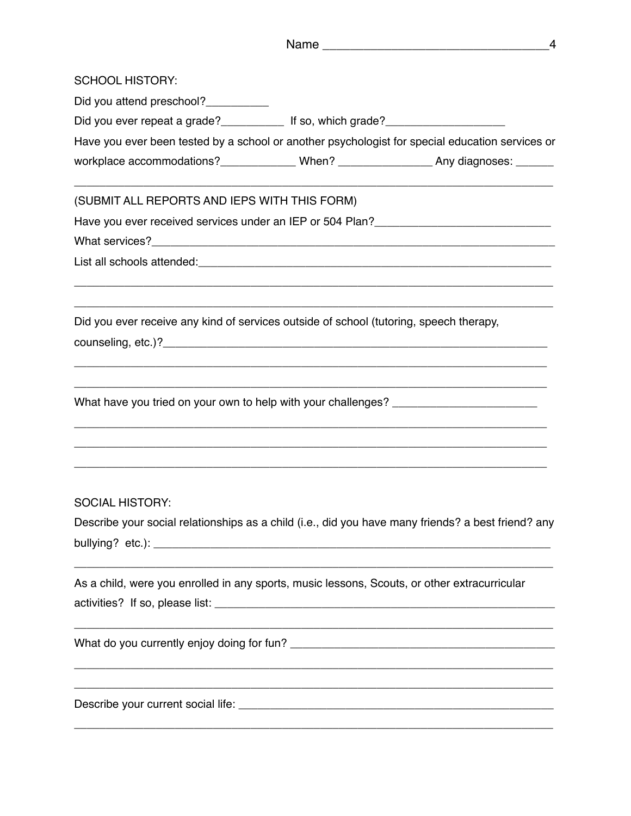|                                                                                                                                                                                                                                                                                                       | $\overline{4}$ |
|-------------------------------------------------------------------------------------------------------------------------------------------------------------------------------------------------------------------------------------------------------------------------------------------------------|----------------|
| <b>SCHOOL HISTORY:</b>                                                                                                                                                                                                                                                                                |                |
| Did you attend preschool?__________                                                                                                                                                                                                                                                                   |                |
| Did you ever repeat a grade?______________ If so, which grade?__________________                                                                                                                                                                                                                      |                |
| Have you ever been tested by a school or another psychologist for special education services or                                                                                                                                                                                                       |                |
| workplace accommodations?______________When? __________________Any diagnoses: _______                                                                                                                                                                                                                 |                |
| (SUBMIT ALL REPORTS AND IEPS WITH THIS FORM)                                                                                                                                                                                                                                                          |                |
| Have you ever received services under an IEP or 504 Plan?______________________________                                                                                                                                                                                                               |                |
|                                                                                                                                                                                                                                                                                                       |                |
| Did you ever receive any kind of services outside of school (tutoring, speech therapy,                                                                                                                                                                                                                |                |
| <u> 1989 - Johann Harry Harry Harry Harry Harry Harry Harry Harry Harry Harry Harry Harry Harry Harry Harry Harry</u><br>What have you tried on your own to help with your challenges? _________________________<br>,我们也不能在这里的人,我们也不能在这里的人,我们也不能在这里的人,我们也不能在这里的人,我们也不能在这里的人,我们也不能在这里的人,我们也不能在这里的人,我们也 |                |
| <b>SOCIAL HISTORY:</b><br>Describe your social relationships as a child (i.e., did you have many friends? a best friend? any                                                                                                                                                                          |                |
| As a child, were you enrolled in any sports, music lessons, Scouts, or other extracurricular                                                                                                                                                                                                          |                |
|                                                                                                                                                                                                                                                                                                       |                |
|                                                                                                                                                                                                                                                                                                       |                |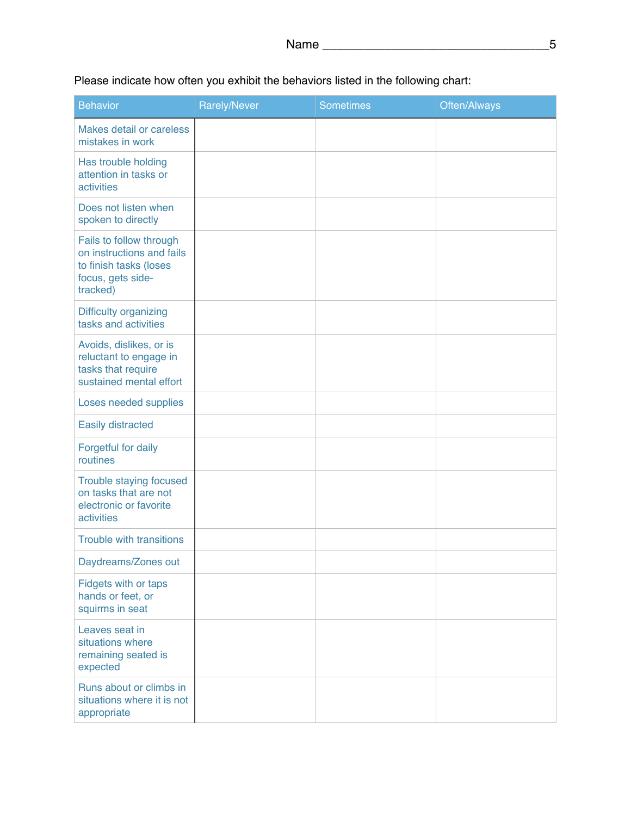Please indicate how often you exhibit the behaviors listed in the following chart:

| <b>Behavior</b>                                                                                                 | <b>Rarely/Never</b> | <b>Sometimes</b> | Often/Always |
|-----------------------------------------------------------------------------------------------------------------|---------------------|------------------|--------------|
| Makes detail or careless<br>mistakes in work                                                                    |                     |                  |              |
| Has trouble holding<br>attention in tasks or<br>activities                                                      |                     |                  |              |
| Does not listen when<br>spoken to directly                                                                      |                     |                  |              |
| Fails to follow through<br>on instructions and fails<br>to finish tasks (loses<br>focus, gets side-<br>tracked) |                     |                  |              |
| Difficulty organizing<br>tasks and activities                                                                   |                     |                  |              |
| Avoids, dislikes, or is<br>reluctant to engage in<br>tasks that require<br>sustained mental effort              |                     |                  |              |
| Loses needed supplies                                                                                           |                     |                  |              |
| <b>Easily distracted</b>                                                                                        |                     |                  |              |
| Forgetful for daily<br>routines                                                                                 |                     |                  |              |
| Trouble staying focused<br>on tasks that are not<br>electronic or favorite<br>activities                        |                     |                  |              |
| <b>Trouble with transitions</b>                                                                                 |                     |                  |              |
| Daydreams/Zones out                                                                                             |                     |                  |              |
| Fidgets with or taps<br>hands or feet, or<br>squirms in seat                                                    |                     |                  |              |
| Leaves seat in<br>situations where<br>remaining seated is<br>expected                                           |                     |                  |              |
| Runs about or climbs in<br>situations where it is not<br>appropriate                                            |                     |                  |              |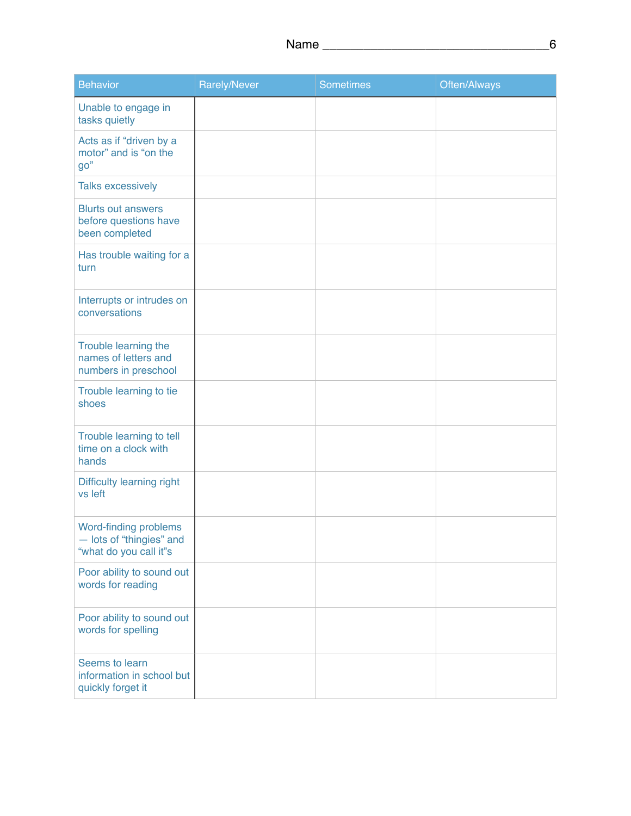| <b>Behavior</b>                                                                    | <b>Rarely/Never</b> | <b>Sometimes</b> | Often/Always |
|------------------------------------------------------------------------------------|---------------------|------------------|--------------|
| Unable to engage in<br>tasks quietly                                               |                     |                  |              |
| Acts as if "driven by a<br>motor" and is "on the<br>go"                            |                     |                  |              |
| <b>Talks excessively</b>                                                           |                     |                  |              |
| <b>Blurts out answers</b><br>before questions have<br>been completed               |                     |                  |              |
| Has trouble waiting for a<br>turn                                                  |                     |                  |              |
| Interrupts or intrudes on<br>conversations                                         |                     |                  |              |
| Trouble learning the<br>names of letters and<br>numbers in preschool               |                     |                  |              |
| Trouble learning to tie<br>shoes                                                   |                     |                  |              |
| Trouble learning to tell<br>time on a clock with<br>hands                          |                     |                  |              |
| Difficulty learning right<br>vs left                                               |                     |                  |              |
| <b>Word-finding problems</b><br>- lots of "thingies" and<br>"what do you call it"s |                     |                  |              |
| Poor ability to sound out<br>words for reading                                     |                     |                  |              |
| Poor ability to sound out<br>words for spelling                                    |                     |                  |              |
| Seems to learn<br>information in school but<br>quickly forget it                   |                     |                  |              |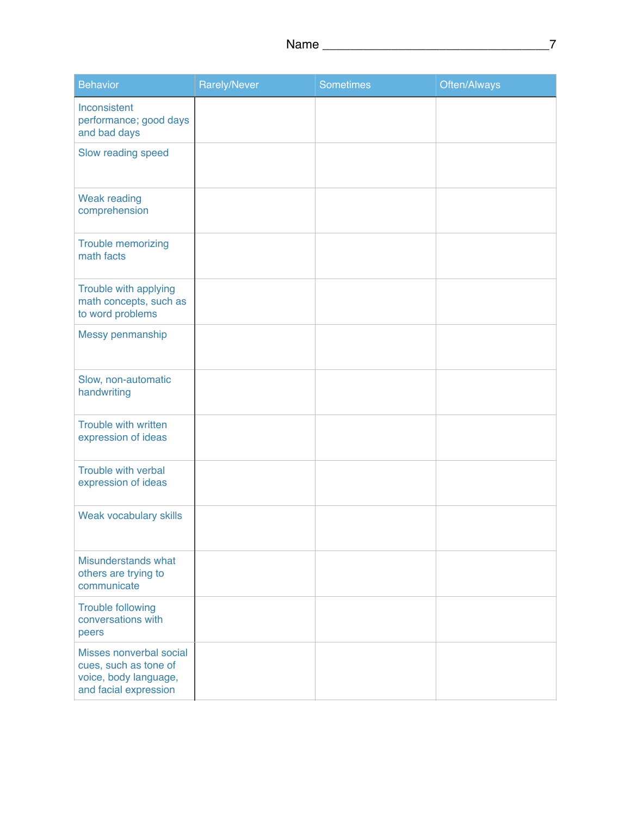| <b>Behavior</b>                                                                                    | Rarely/Never | <b>Sometimes</b> | Often/Always |
|----------------------------------------------------------------------------------------------------|--------------|------------------|--------------|
| Inconsistent<br>performance; good days<br>and bad days                                             |              |                  |              |
| Slow reading speed                                                                                 |              |                  |              |
| <b>Weak reading</b><br>comprehension                                                               |              |                  |              |
| <b>Trouble memorizing</b><br>math facts                                                            |              |                  |              |
| Trouble with applying<br>math concepts, such as<br>to word problems                                |              |                  |              |
| Messy penmanship                                                                                   |              |                  |              |
| Slow, non-automatic<br>handwriting                                                                 |              |                  |              |
| Trouble with written<br>expression of ideas                                                        |              |                  |              |
| Trouble with verbal<br>expression of ideas                                                         |              |                  |              |
| Weak vocabulary skills                                                                             |              |                  |              |
| Misunderstands what<br>others are trying to<br>communicate                                         |              |                  |              |
| <b>Trouble following</b><br>conversations with<br>peers                                            |              |                  |              |
| Misses nonverbal social<br>cues, such as tone of<br>voice, body language,<br>and facial expression |              |                  |              |